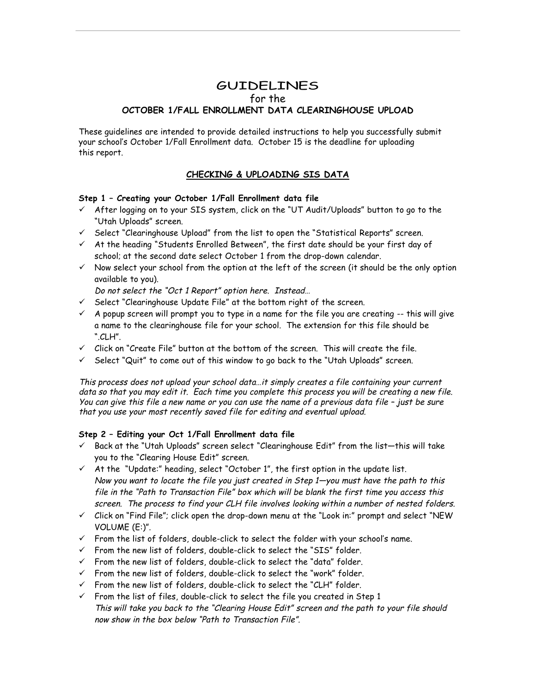# **GUIDELINES** for the **OCTOBER 1/FALL ENROLLMENT DATA CLEARINGHOUSE UPLOAD**

These guidelines are intended to provide detailed instructions to help you successfully submit your school's October 1/Fall Enrollment data. October 15 is the deadline for uploading this report.

# **CHECKING & UPLOADING SIS DATA**

## **Step 1 – Creating your October 1/Fall Enrollment data file**

- $\checkmark$  After logging on to your SIS system, click on the "UT Audit/Uploads" button to go to the "Utah Uploads" screen.
- $\checkmark$  Select "Clearinghouse Upload" from the list to open the "Statistical Reports" screen.
- $\checkmark$  At the heading "Students Enrolled Between", the first date should be your first day of school; at the second date select October 1 from the drop-down calendar.
- $\checkmark$  Now select your school from the option at the left of the screen (it should be the only option available to you).

Do not select the "Oct 1 Report" option here. Instead…

- $\checkmark$  Select "Clearinghouse Update File" at the bottom right of the screen.
- $\checkmark$  A popup screen will prompt you to type in a name for the file you are creating  $-$ -this will give a name to the clearinghouse file for your school. The extension for this file should be ".CLH".
- $\checkmark$  Click on "Create File" button at the bottom of the screen. This will create the file.
- $\checkmark$  Select "Quit" to come out of this window to go back to the "Utah Uploads" screen.

This process does not upload your school data…it simply creates a file containing your current data so that you may edit it. Each time you complete this process you will be creating a new file. You can give this file a new name or you can use the name of a previous data file – just be sure that you use your most recently saved file for editing and eventual upload.

### **Step 2 – Editing your Oct 1/Fall Enrollment data file**

- $\checkmark$  Back at the "Utah Uploads" screen select "Clearinghouse Edit" from the list-this will take you to the "Clearing House Edit" screen.
- $\checkmark$  At the "Update:" heading, select "October 1", the first option in the update list. Now you want to locate the file you just created in Step 1—you must have the path to this file in the "Path to Transaction File" box which will be blank the first time you access this screen. The process to find your CLH file involves looking within a number of nested folders.
- $\checkmark$  Click on "Find File"; click open the drop-down menu at the "Look in:" prompt and select "NEW VOLUME (E:)".
- $\checkmark$  From the list of folders, double-click to select the folder with your school's name.
- $\checkmark$  From the new list of folders, double-click to select the "SIS" folder.
- $\checkmark$  From the new list of folders, double-click to select the "data" folder.
- $\checkmark$  From the new list of folders, double-click to select the "work" folder.
- $\checkmark$  From the new list of folders, double-click to select the "CLH" folder.
- $\checkmark$  From the list of files, double-click to select the file you created in Step 1 This will take you back to the "Clearing House Edit" screen and the path to your file should now show in the box below "Path to Transaction File".